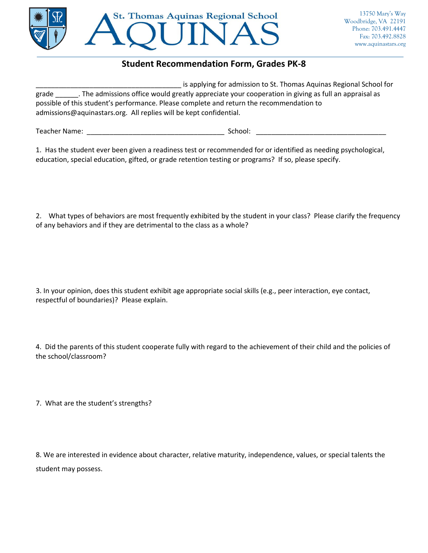

## **Student Recommendation Form, Grades PK-8**

| is applying for admission to St. Thomas Aquinas Regional School for                                 |
|-----------------------------------------------------------------------------------------------------|
| . The admissions office would greatly appreciate your cooperation in giving as full an appraisal as |
|                                                                                                     |
|                                                                                                     |
|                                                                                                     |

Teacher Name: \_\_\_\_\_\_\_\_\_\_\_\_\_\_\_\_\_\_\_\_\_\_\_\_\_\_\_\_\_\_\_\_\_\_\_\_ School: \_\_\_\_\_\_\_\_\_\_\_\_\_\_\_\_\_\_\_\_\_\_\_\_\_\_\_\_\_\_\_\_\_\_

1. Has the student ever been given a readiness test or recommended for or identified as needing psychological, education, special education, gifted, or grade retention testing or programs? If so, please specify.

2. What types of behaviors are most frequently exhibited by the student in your class? Please clarify the frequency of any behaviors and if they are detrimental to the class as a whole?

3. In your opinion, does this student exhibit age appropriate social skills (e.g., peer interaction, eye contact, respectful of boundaries)? Please explain.

4. Did the parents of this student cooperate fully with regard to the achievement of their child and the policies of the school/classroom?

7. What are the student's strengths?

8. We are interested in evidence about character, relative maturity, independence, values, or special talents the student may possess.